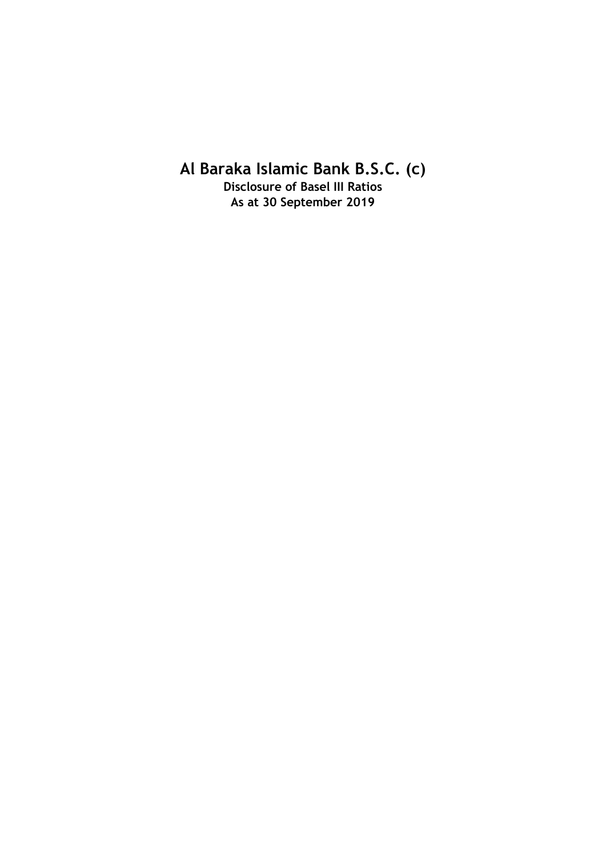**Al Baraka Islamic Bank B.S.C. (c)**

**Disclosure of Basel III Ratios As at 30 September 2019**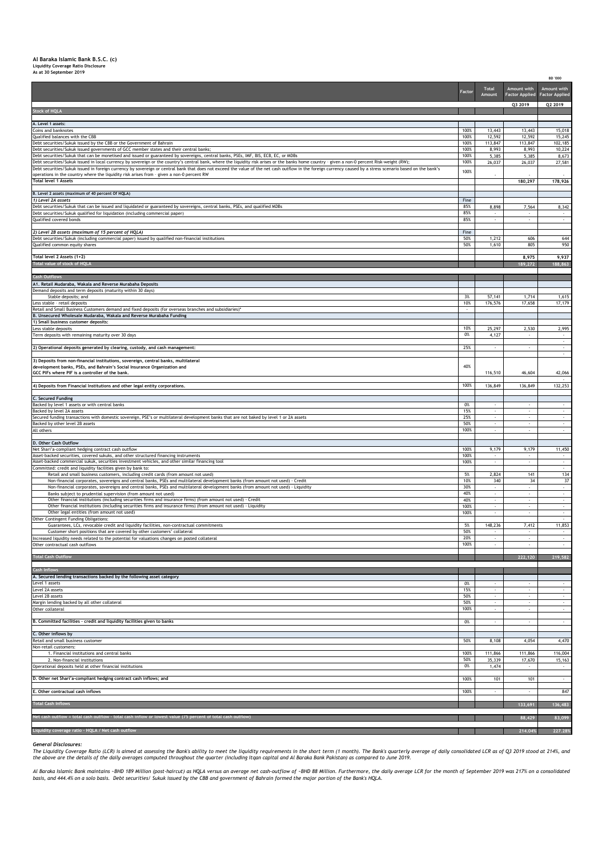## **Al Baraka Islamic Bank B.S.C. (c) Liquidity Coverage Ratio Disclosure As at 30 September 2019**

|                                                                                                                                                                                                                                                                                                                                                                                                                | Factor       | <b>Total</b><br>Amount                 | Amount with<br><b>Factor Applied</b>       | Amount with<br><b>Factor Applied</b>                 |
|----------------------------------------------------------------------------------------------------------------------------------------------------------------------------------------------------------------------------------------------------------------------------------------------------------------------------------------------------------------------------------------------------------------|--------------|----------------------------------------|--------------------------------------------|------------------------------------------------------|
|                                                                                                                                                                                                                                                                                                                                                                                                                |              |                                        | Q3 2019                                    | Q2 2019                                              |
| <b>Stock of HQLA</b>                                                                                                                                                                                                                                                                                                                                                                                           |              |                                        |                                            |                                                      |
| A. Level 1 assets:                                                                                                                                                                                                                                                                                                                                                                                             |              |                                        |                                            |                                                      |
| Coins and banknotes<br>Qualified balances with the CBB                                                                                                                                                                                                                                                                                                                                                         | 100%<br>100% | 13,443<br>12,592                       | 13,443<br>12,592                           | 15,018<br>15,245                                     |
| Debt securities/Sukuk issued by the CBB or the Government of Bahrain<br>Debt securities/Sukuk issued governments of GCC member states and their central banks;                                                                                                                                                                                                                                                 | 100%<br>100% | 113,847<br>8,993                       | 113,847<br>8,993                           | 102,185<br>10,224                                    |
| Debt securities/Sukuk that can be monetised and issued or guaranteed by sovereigns, central banks, PSEs, IMF, BIS, ECB, EC, or MDBs                                                                                                                                                                                                                                                                            | 100%         | 5,385                                  | 5,385                                      | 8,673                                                |
| Debt securities/Sukuk issued in local currency by sovereign or the country's central bank, where the liquidity risk arises or the banks home country - given a non-0 percent Risk-weight (RW);<br>Debt securities/Sukuk issued in foreign currency by sovereign or central bank that does not exceed the value of the net cash outflow in the foreign currency caused by a stress scenario based on the bank's | 100%         | 26,037                                 | 26,037                                     | 27,581                                               |
| operations in the country where the liquidity risk arises from - given a non-0 percent RW<br><b>Total level 1 Assets</b>                                                                                                                                                                                                                                                                                       | 100%         |                                        |                                            |                                                      |
|                                                                                                                                                                                                                                                                                                                                                                                                                |              |                                        | 180,297                                    | 178,926                                              |
| B. Level 2 assets (maximum of 40 percent Of HQLA)<br>1) Level 2A assets                                                                                                                                                                                                                                                                                                                                        | Fine         |                                        |                                            |                                                      |
| Debt securities/Sukuk that can be issued and liquidated or guaranteed by sovereigns, central banks, PSEs, and qualified MDBs                                                                                                                                                                                                                                                                                   | 85%          | 8,898                                  | 7,564                                      | 8,342                                                |
| Debt securities/Sukuk qualified for liquidation (including commercial paper)<br>Qualified covered bonds                                                                                                                                                                                                                                                                                                        | 85%<br>85%   | $\cdot$<br>$\sim$                      | $\sim$                                     | $\sim$                                               |
|                                                                                                                                                                                                                                                                                                                                                                                                                |              |                                        |                                            |                                                      |
| 2) Level 2B assets (maximum of 15 percent of HQLA)<br>Debt securities/Sukuk (including commercial paper) issued by qualified non-financial institutions                                                                                                                                                                                                                                                        | Fine<br>50%  | 1,212                                  | 606                                        | 644                                                  |
| Qualified common equity shares                                                                                                                                                                                                                                                                                                                                                                                 | 50%          | 1,610                                  | 805                                        | 950                                                  |
| Total level 2 Assets (1+2)                                                                                                                                                                                                                                                                                                                                                                                     |              |                                        | 8,975                                      | 9,937                                                |
| Total value of stock of HQLA                                                                                                                                                                                                                                                                                                                                                                                   |              |                                        | 189,272                                    | 188,863                                              |
| <b>Cash Outflows</b>                                                                                                                                                                                                                                                                                                                                                                                           |              |                                        |                                            |                                                      |
| A1. Retail Mudaraba, Wakala and Reverse Murabaha Deposits                                                                                                                                                                                                                                                                                                                                                      |              |                                        |                                            |                                                      |
| Demand deposits and term deposits (maturity within 30 days)<br>Stable deposits; and                                                                                                                                                                                                                                                                                                                            | 3%           | 57,141                                 | 1,714                                      | 1,615                                                |
| Less stable - retail deposits<br>Retail and Small Business Customers demand and fixed deposits (for overseas branches and subsidiaries)*                                                                                                                                                                                                                                                                       | 10%<br>×,    | 176,576                                | 17,658                                     | 17,179                                               |
| B. Unsecured Wholesale Mudaraba, Wakala and Reverse Murabaha Funding                                                                                                                                                                                                                                                                                                                                           |              |                                        |                                            |                                                      |
| 1) Small business customer deposits:<br>Less stable deposits                                                                                                                                                                                                                                                                                                                                                   | 10%          | 25,297                                 | 2,530                                      | 2,995                                                |
| Term deposits with remaining maturity over 30 days                                                                                                                                                                                                                                                                                                                                                             | 0%           | 4,127                                  |                                            |                                                      |
| 2) Operational deposits generated by clearing, custody, and cash management:                                                                                                                                                                                                                                                                                                                                   | 25%          | $\cdot$                                | $\overline{\phantom{a}}$                   | $\cdot$<br>$\overline{\phantom{a}}$                  |
|                                                                                                                                                                                                                                                                                                                                                                                                                |              |                                        |                                            | $\sim$                                               |
| 3) Deposits from non-financial institutions, sovereign, central banks, multilateral<br>development banks, PSEs, and Bahrain's Social Insurance Organization and                                                                                                                                                                                                                                                | 40%          |                                        |                                            |                                                      |
| GCC PIFs where PIF is a controller of the bank.                                                                                                                                                                                                                                                                                                                                                                |              | 116,510                                | 46,604                                     | 42,066                                               |
| 4) Deposits from Financial Institutions and other legal entity corporations.                                                                                                                                                                                                                                                                                                                                   | 100%         | 136,849                                | 136,849                                    | 132,253                                              |
| C. Secured Funding                                                                                                                                                                                                                                                                                                                                                                                             |              |                                        |                                            |                                                      |
| Backed by level 1 assets or with central banks                                                                                                                                                                                                                                                                                                                                                                 | 0%           | $\sim$                                 | $\sim$                                     | $\sim$                                               |
| Backed by level 2A assets<br>Secured funding transactions with domestic sovereign, PSE's or multilateral development banks that are not baked by level 1 or 2A assets                                                                                                                                                                                                                                          | 15%<br>25%   |                                        | $\bar{\phantom{a}}$<br>$\bar{\phantom{a}}$ | $\omega$<br>$\sim$                                   |
| Backed by other level 2B assets                                                                                                                                                                                                                                                                                                                                                                                | 50%          |                                        |                                            | $\cdot$                                              |
| All others                                                                                                                                                                                                                                                                                                                                                                                                     | 100%         | $\overline{\phantom{a}}$               | $\overline{\phantom{a}}$                   | $\sim$                                               |
| D. Other Cash Outflow                                                                                                                                                                                                                                                                                                                                                                                          |              |                                        |                                            |                                                      |
| Net Shari'a-compliant hedging contract cash outflow<br>Asset-backed securities, covered sukuks, and other structured financing instruments                                                                                                                                                                                                                                                                     | 100%<br>100% | 9,179<br>$\overline{\phantom{a}}$      | 9,179<br>$\sim$                            | 11,450<br>$\sim$                                     |
| Asset-backed commercial sukuk, securities investment vehicles, and other similar financing tool<br>Committed: credit and liquidity facilities given by bank to:                                                                                                                                                                                                                                                | 100%         | $\mathcal{L}_{\mathcal{A}}$            | ÷.                                         | $\sim$<br>×.                                         |
| Retail and small business customers, including credit cards (from amount not used)                                                                                                                                                                                                                                                                                                                             | 5%           | 2,824                                  | 141                                        | 134                                                  |
| Non-financial corporates, sovereigns and central banks, PSEs and multilateral development banks (from amount not used) - Credit<br>Non-financial corporates, sovereigns and central banks, PSEs and multilateral development banks (from amount not used) - Liquidity                                                                                                                                          | 10%<br>30%   | 340                                    | 34<br>ä,                                   | 37<br>$\sim$                                         |
| Banks subject to prudential supervision (from amount not used)                                                                                                                                                                                                                                                                                                                                                 | 40%          |                                        |                                            |                                                      |
| Other financial institutions (including securities firms and insurance firms) (from amount not used) - Credit<br>Other financial institutions (including securities firms and insurance firms) (from amount not used) - Liquidity                                                                                                                                                                              | 40%<br>100%  | $\overline{\phantom{a}}$               |                                            | $\overline{\phantom{a}}$<br>$\overline{\phantom{a}}$ |
| Other legal entities (from amount not used)                                                                                                                                                                                                                                                                                                                                                                    | 100%         | $\cdot$                                | $\cdot$                                    | $\cdot$                                              |
| Other Contingent Funding Obligations:<br>Guarantees, LCs, revocable credit and liquidity facilities, non-contractual commitments                                                                                                                                                                                                                                                                               | 5%           | 148,236                                | 7,412                                      | $\sim$<br>11,853                                     |
| Customer short positions that are covered by other customers' collateral                                                                                                                                                                                                                                                                                                                                       | 50%          | $\overline{\phantom{a}}$               | $\sim$                                     | $\sim$                                               |
| sed liquidity needs related to the potential for valuations changes on posted collateral<br>Other contractual cash outflows                                                                                                                                                                                                                                                                                    | 20%<br>100%  | ÷,                                     |                                            | $\sim$<br>$\cdot$                                    |
| <b>Total Cash Outflow</b>                                                                                                                                                                                                                                                                                                                                                                                      |              |                                        | 222,120                                    | 219,582                                              |
|                                                                                                                                                                                                                                                                                                                                                                                                                |              |                                        |                                            |                                                      |
| <b>Cash Inflows</b><br>A. Secured lending transactions backed by the following asset category                                                                                                                                                                                                                                                                                                                  |              |                                        |                                            |                                                      |
| Level 1 assets                                                                                                                                                                                                                                                                                                                                                                                                 | 0%           | $\cdot$                                | $\cdot$                                    | $\sim$                                               |
| Level 2A assets<br>Level 2B assets                                                                                                                                                                                                                                                                                                                                                                             | 15%<br>50%   | $\cdot$<br>$\mathcal{L}_{\mathcal{A}}$ | $\sim$<br>ä,                               | $\cdot$<br>$\sim$                                    |
| Margin lending backed by all other collateral                                                                                                                                                                                                                                                                                                                                                                  | 50%          | ÷.                                     | ÷.<br>÷.                                   | ×.                                                   |
| Other collateral                                                                                                                                                                                                                                                                                                                                                                                               | 100%         | $\mathcal{L}_{\mathcal{A}}$            |                                            | $\mathcal{L}$                                        |
| B. Committed facilities - credit and liquidity facilities given to banks                                                                                                                                                                                                                                                                                                                                       | 0%           | $\mathbf{r}$                           | $\alpha$                                   | $\sim$                                               |
| C. Other inflows by                                                                                                                                                                                                                                                                                                                                                                                            |              |                                        |                                            |                                                      |
| Retail and small business customer<br>Non-retail customers:                                                                                                                                                                                                                                                                                                                                                    | 50%          | 8,108                                  | 4,054                                      | 4,470                                                |
| 1. Financial institutions and central banks                                                                                                                                                                                                                                                                                                                                                                    | 100%         | 111,866                                | 111,866                                    | 116,004                                              |
| 2. Non-financial institutions<br>Operational deposits held at other financial institutions                                                                                                                                                                                                                                                                                                                     | 50%<br>0%    | 35,339<br>1,474                        | 17,670<br>$\alpha$                         | 15,163<br>$\sim$                                     |
|                                                                                                                                                                                                                                                                                                                                                                                                                |              |                                        |                                            |                                                      |
| D. Other net Shari'a-compliant hedging contract cash inflows; and                                                                                                                                                                                                                                                                                                                                              | 100%         | 101                                    | 101                                        | $\sim$                                               |
| E. Other contractual cash inflows                                                                                                                                                                                                                                                                                                                                                                              | 100%         | $\mathcal{L}_{\mathcal{A}}$            | ÷.                                         | 847                                                  |
| <b>Total Cash Inflows</b>                                                                                                                                                                                                                                                                                                                                                                                      |              |                                        | 133,691                                    | 136,483                                              |
| Net cash outflow = total cash outflow - total cash inflow or lowest value (75 percent of total cash outflow                                                                                                                                                                                                                                                                                                    |              |                                        |                                            | 83,099                                               |
|                                                                                                                                                                                                                                                                                                                                                                                                                |              |                                        | 88,429                                     |                                                      |
| Liquidity coverage ratio - HQLA / Net cash outflow                                                                                                                                                                                                                                                                                                                                                             |              |                                        | 214.04                                     | 227.28%                                              |

**BD '000**

*General Disclosures:*

The Liquidity Coverage Ratio (LCR) is aimed at assessing the Bank's ability to meet the liquidity requirements in the short term (1 month). The Bank's quarterly average of daily consolidated LCR as of Q3 2019 stood at 214%

Al Baraka Islamic Bank maintains -BHD 189 Million (post-haircut) as HQLA versus an average net cash-outflow of -BHD 88 Million. Furthermore, the daily average LCR for the month of September 2019 was 217% on a consolidated<br>